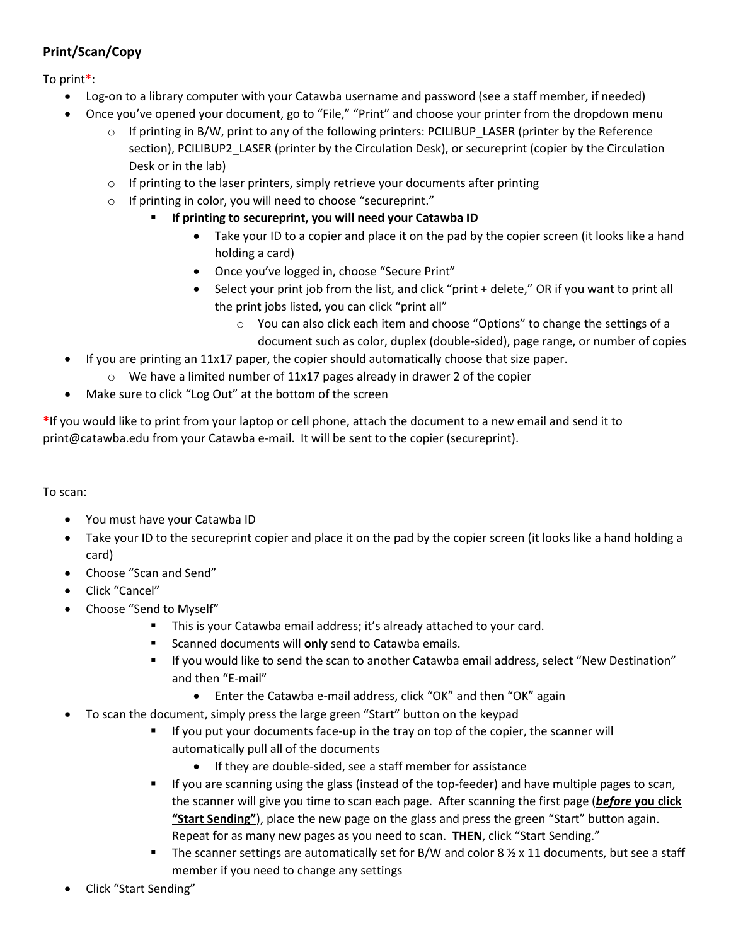## **Print/Scan/Copy**

To print**\***:

- Log-on to a library computer with your Catawba username and password (see a staff member, if needed)
- Once you've opened your document, go to "File," "Print" and choose your printer from the dropdown menu
	- o If printing in B/W, print to any of the following printers: PCILIBUP\_LASER (printer by the Reference section), PCILIBUP2\_LASER (printer by the Circulation Desk), or secureprint (copier by the Circulation Desk or in the lab)
	- $\circ$  If printing to the laser printers, simply retrieve your documents after printing
	- o If printing in color, you will need to choose "secureprint."
		- **If printing to secureprint, you will need your Catawba ID**
			- Take your ID to a copier and place it on the pad by the copier screen (it looks like a hand holding a card)
			- Once you've logged in, choose "Secure Print"
			- Select your print job from the list, and click "print + delete," OR if you want to print all the print jobs listed, you can click "print all"
				- $\circ$  You can also click each item and choose "Options" to change the settings of a document such as color, duplex (double-sided), page range, or number of copies
- If you are printing an 11x17 paper, the copier should automatically choose that size paper.
	- o We have a limited number of 11x17 pages already in drawer 2 of the copier
- Make sure to click "Log Out" at the bottom of the screen

**\***If you would like to print from your laptop or cell phone, attach the document to a new email and send it to print@catawba.edu from your Catawba e-mail. It will be sent to the copier (secureprint).

To scan:

- You must have your Catawba ID
- Take your ID to the secureprint copier and place it on the pad by the copier screen (it looks like a hand holding a card)
- Choose "Scan and Send"
- Click "Cancel"
- Choose "Send to Myself"
	- **This is your Catawba email address; it's already attached to your card.**
	- **EXEC** Scanned documents will only send to Catawba emails.
	- If you would like to send the scan to another Catawba email address, select "New Destination" and then "E-mail"
		- Enter the Catawba e-mail address, click "OK" and then "OK" again
- To scan the document, simply press the large green "Start" button on the keypad
	- If you put your documents face-up in the tray on top of the copier, the scanner will automatically pull all of the documents
		- If they are double-sided, see a staff member for assistance
	- If you are scanning using the glass (instead of the top-feeder) and have multiple pages to scan, the scanner will give you time to scan each page. After scanning the first page (*before* **you click "Start Sending"**), place the new page on the glass and press the green "Start" button again. Repeat for as many new pages as you need to scan. **THEN**, click "Start Sending."
	- The scanner settings are automatically set for B/W and color 8  $\frac{1}{2} \times 11$  documents, but see a staff member if you need to change any settings
- Click "Start Sending"